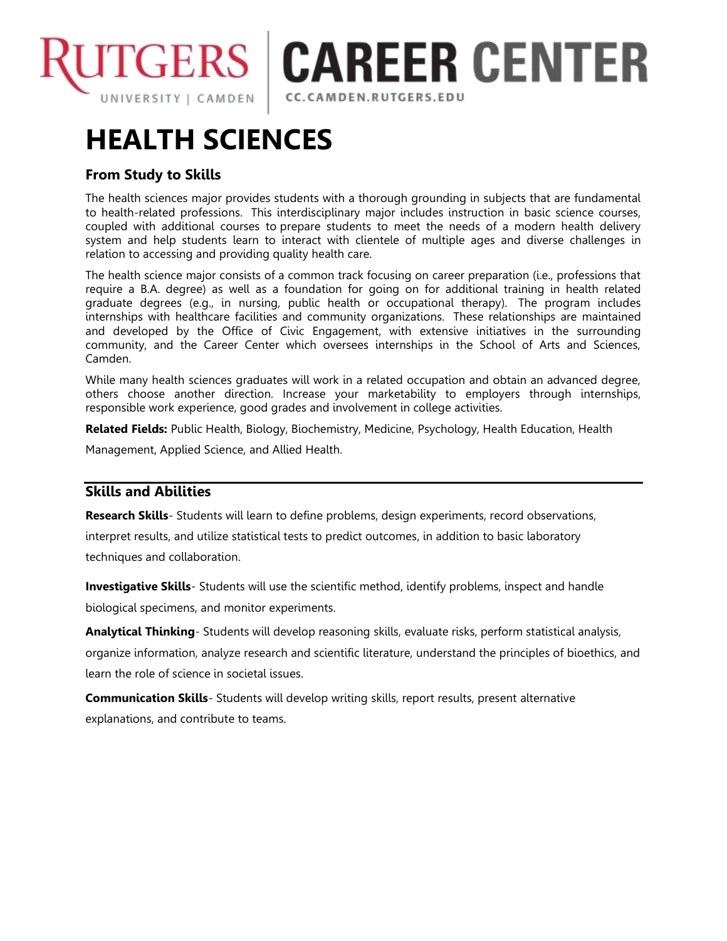

**CAREER CENTER** 

CC.CAMDEN.RUTGERS.EDU

# **HEALTH SCIENCES**

## **From Study to Skills**

The health sciences major provides students with a thorough grounding in subjects that are fundamental to health-related professions. This interdisciplinary major includes instruction in basic science courses, coupled with additional courses to prepare students to meet the needs of a modern health delivery system and help students learn to interact with clientele of multiple ages and diverse challenges in relation to accessing and providing quality health care.

The health science major consists of a common track focusing on career preparation (i.e., professions that require a B.A. degree) as well as a foundation for going on for additional training in health related graduate degrees (e.g., in nursing, public health or occupational therapy). The program includes internships with healthcare facilities and community organizations. These relationships are maintained and developed by the Office of Civic Engagement, with extensive initiatives in the surrounding community, and the Career Center which oversees internships in the School of Arts and Sciences, Camden.

While many health sciences graduates will work in a related occupation and obtain an advanced degree, others choose another direction. Increase your marketability to employers through internships, responsible work experience, good grades and involvement in college activities.

**Related Fields:** Public Health, Biology, Biochemistry, Medicine, Psychology, Health Education, Health

Management, Applied Science, and Allied Health.

## **Skills and Abilities**

**Research Skills**- Students will learn to define problems, design experiments, record observations,

interpret results, and utilize statistical tests to predict outcomes, in addition to basic laboratory techniques and collaboration.

**Investigative Skills**- Students will use the scientific method, identify problems, inspect and handle biological specimens, and monitor experiments.

**Analytical Thinking**- Students will develop reasoning skills, evaluate risks, perform statistical analysis, organize information, analyze research and scientific literature, understand the principles of bioethics, and learn the role of science in societal issues.

**Communication Skills**- Students will develop writing skills, report results, present alternative explanations, and contribute to teams.